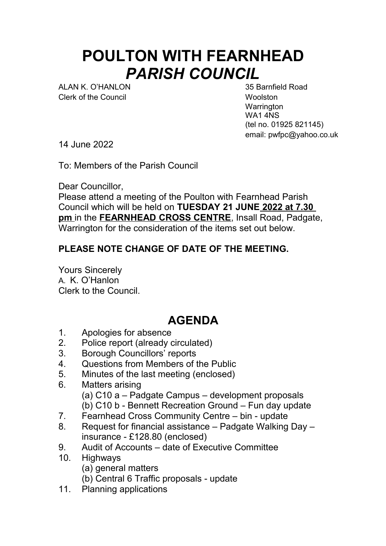## **POULTON WITH FEARNHEAD** *PARISH COUNCIL*

ALAN K. O'HANLON 35 Barnfield Road Clerk of the Council **Woolston** 

**Warrington** WA1 4NS (tel no. 01925 821145) email: pwfpc@yahoo.co.uk

14 June 2022

To: Members of the Parish Council

Dear Councillor,

Please attend a meeting of the Poulton with Fearnhead Parish Council which will be held on **TUESDAY 21 JUNE 2022 at 7.30 pm** in the **FEARNHEAD CROSS CENTRE**, Insall Road, Padgate, Warrington for the consideration of the items set out below.

## **PLEASE NOTE CHANGE OF DATE OF THE MEETING.**

Yours Sincerely A. K. O'Hanlon Clerk to the Council.

## **AGENDA**

- 1. Apologies for absence
- 2. Police report (already circulated)
- 3. Borough Councillors' reports
- 4. Questions from Members of the Public
- 5. Minutes of the last meeting (enclosed)
- 6. Matters arising (a) C10 a – Padgate Campus – development proposals (b) C10 b - Bennett Recreation Ground – Fun day update
- 7. Fearnhead Cross Community Centre bin update
- 8. Request for financial assistance Padgate Walking Day insurance - £128.80 (enclosed)
- 9. Audit of Accounts date of Executive Committee
- 10. Highways
	- (a) general matters
	- (b) Central 6 Traffic proposals update
- 11. Planning applications